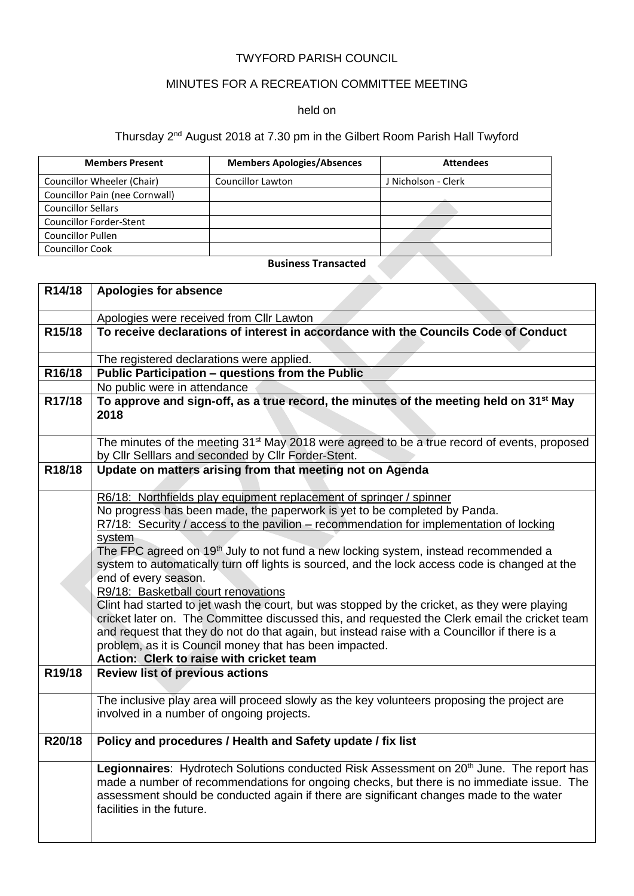## TWYFORD PARISH COUNCIL

# MINUTES FOR A RECREATION COMMITTEE MEETING

### held on

### Thursday 2<sup>nd</sup> August 2018 at 7.30 pm in the Gilbert Room Parish Hall Twyford

| <b>Members Present</b>         | <b>Members Apologies/Absences</b> | <b>Attendees</b>    |
|--------------------------------|-----------------------------------|---------------------|
| Councillor Wheeler (Chair)     | <b>Councillor Lawton</b>          | J Nicholson - Clerk |
| Councillor Pain (nee Cornwall) |                                   |                     |
| <b>Councillor Sellars</b>      |                                   |                     |
| <b>Councillor Forder-Stent</b> |                                   |                     |
| <b>Councillor Pullen</b>       |                                   |                     |
| <b>Councillor Cook</b>         |                                   |                     |

## **Business Transacted**

**Contract** 

| R14/18 | Apologies for absence                                                                                                                                                                                                                                                                                                                                                                                                                                                                                                                                                                                                      |
|--------|----------------------------------------------------------------------------------------------------------------------------------------------------------------------------------------------------------------------------------------------------------------------------------------------------------------------------------------------------------------------------------------------------------------------------------------------------------------------------------------------------------------------------------------------------------------------------------------------------------------------------|
|        | Apologies were received from Cllr Lawton                                                                                                                                                                                                                                                                                                                                                                                                                                                                                                                                                                                   |
| R15/18 | To receive declarations of interest in accordance with the Councils Code of Conduct                                                                                                                                                                                                                                                                                                                                                                                                                                                                                                                                        |
|        | The registered declarations were applied.                                                                                                                                                                                                                                                                                                                                                                                                                                                                                                                                                                                  |
| R16/18 | Public Participation - questions from the Public                                                                                                                                                                                                                                                                                                                                                                                                                                                                                                                                                                           |
|        | No public were in attendance                                                                                                                                                                                                                                                                                                                                                                                                                                                                                                                                                                                               |
| R17/18 | To approve and sign-off, as a true record, the minutes of the meeting held on 31 <sup>st</sup> May<br>2018                                                                                                                                                                                                                                                                                                                                                                                                                                                                                                                 |
|        | The minutes of the meeting 31 <sup>st</sup> May 2018 were agreed to be a true record of events, proposed<br>by Cllr Selllars and seconded by Cllr Forder-Stent.                                                                                                                                                                                                                                                                                                                                                                                                                                                            |
| R18/18 | Update on matters arising from that meeting not on Agenda                                                                                                                                                                                                                                                                                                                                                                                                                                                                                                                                                                  |
|        | R6/18: Northfields play equipment replacement of springer / spinner<br>No progress has been made, the paperwork is yet to be completed by Panda.<br>R7/18: Security / access to the pavilion – recommendation for implementation of locking<br>system<br>The FPC agreed on 19 <sup>th</sup> July to not fund a new locking system, instead recommended a<br>system to automatically turn off lights is sourced, and the lock access code is changed at the<br>end of every season.<br>R9/18: Basketball court renovations<br>Clint had started to jet wash the court, but was stopped by the cricket, as they were playing |
|        | cricket later on. The Committee discussed this, and requested the Clerk email the cricket team<br>and request that they do not do that again, but instead raise with a Councillor if there is a<br>problem, as it is Council money that has been impacted.<br>Action: Clerk to raise with cricket team                                                                                                                                                                                                                                                                                                                     |
| R19/18 | <b>Review list of previous actions</b>                                                                                                                                                                                                                                                                                                                                                                                                                                                                                                                                                                                     |
|        | The inclusive play area will proceed slowly as the key volunteers proposing the project are<br>involved in a number of ongoing projects.                                                                                                                                                                                                                                                                                                                                                                                                                                                                                   |
| R20/18 | Policy and procedures / Health and Safety update / fix list                                                                                                                                                                                                                                                                                                                                                                                                                                                                                                                                                                |
|        | Legionnaires: Hydrotech Solutions conducted Risk Assessment on 20 <sup>th</sup> June. The report has<br>made a number of recommendations for ongoing checks, but there is no immediate issue. The<br>assessment should be conducted again if there are significant changes made to the water<br>facilities in the future.                                                                                                                                                                                                                                                                                                  |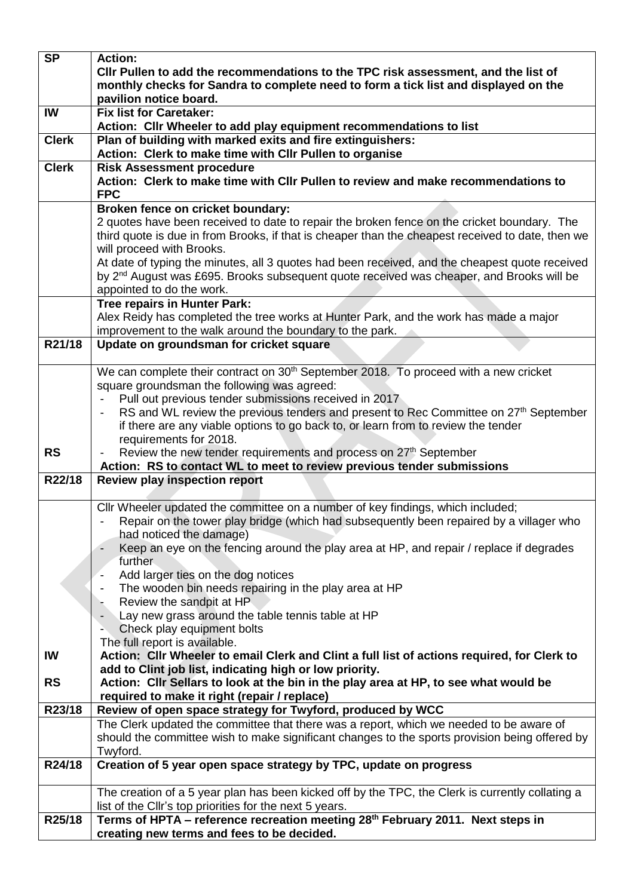|              | <b>Action:</b>                                                                                                                                        |
|--------------|-------------------------------------------------------------------------------------------------------------------------------------------------------|
|              | CIIr Pullen to add the recommendations to the TPC risk assessment, and the list of                                                                    |
|              | monthly checks for Sandra to complete need to form a tick list and displayed on the                                                                   |
|              | pavilion notice board.                                                                                                                                |
| IW           | <b>Fix list for Caretaker:</b>                                                                                                                        |
| <b>Clerk</b> | Action: Cllr Wheeler to add play equipment recommendations to list<br>Plan of building with marked exits and fire extinguishers:                      |
|              | Action: Clerk to make time with Cllr Pullen to organise                                                                                               |
| <b>Clerk</b> | <b>Risk Assessment procedure</b>                                                                                                                      |
|              | Action: Clerk to make time with Cllr Pullen to review and make recommendations to                                                                     |
|              | <b>FPC</b>                                                                                                                                            |
|              | Broken fence on cricket boundary:                                                                                                                     |
|              | 2 quotes have been received to date to repair the broken fence on the cricket boundary. The                                                           |
|              | third quote is due in from Brooks, if that is cheaper than the cheapest received to date, then we                                                     |
|              | will proceed with Brooks.                                                                                                                             |
|              | At date of typing the minutes, all 3 quotes had been received, and the cheapest quote received                                                        |
|              | by 2 <sup>nd</sup> August was £695. Brooks subsequent quote received was cheaper, and Brooks will be                                                  |
|              | appointed to do the work.                                                                                                                             |
|              | <b>Tree repairs in Hunter Park:</b>                                                                                                                   |
|              | Alex Reidy has completed the tree works at Hunter Park, and the work has made a major<br>improvement to the walk around the boundary to the park.     |
| R21/18       | Update on groundsman for cricket square                                                                                                               |
|              |                                                                                                                                                       |
|              | We can complete their contract on 30 <sup>th</sup> September 2018. To proceed with a new cricket                                                      |
|              | square groundsman the following was agreed:                                                                                                           |
|              | Pull out previous tender submissions received in 2017                                                                                                 |
|              | RS and WL review the previous tenders and present to Rec Committee on 27 <sup>th</sup> September                                                      |
|              | if there are any viable options to go back to, or learn from to review the tender                                                                     |
|              | requirements for 2018.                                                                                                                                |
| <b>RS</b>    | Review the new tender requirements and process on 27 <sup>th</sup> September                                                                          |
| R22/18       | Action: RS to contact WL to meet to review previous tender submissions<br><b>Review play inspection report</b>                                        |
|              |                                                                                                                                                       |
|              | Cllr Wheeler updated the committee on a number of key findings, which included;                                                                       |
|              | Repair on the tower play bridge (which had subsequently been repaired by a villager who                                                               |
|              |                                                                                                                                                       |
|              | had noticed the damage)                                                                                                                               |
|              | Keep an eye on the fencing around the play area at HP, and repair / replace if degrades                                                               |
|              | further.                                                                                                                                              |
|              | Add larger ties on the dog notices                                                                                                                    |
|              | The wooden bin needs repairing in the play area at HP                                                                                                 |
|              | Review the sandpit at HP                                                                                                                              |
|              | Lay new grass around the table tennis table at HP                                                                                                     |
|              | Check play equipment bolts<br>The full report is available.                                                                                           |
| IW           | Action: Cllr Wheeler to email Clerk and Clint a full list of actions required, for Clerk to                                                           |
|              | add to Clint job list, indicating high or low priority.                                                                                               |
| <b>RS</b>    | Action: Cllr Sellars to look at the bin in the play area at HP, to see what would be                                                                  |
|              | required to make it right (repair / replace)                                                                                                          |
| R23/18       | Review of open space strategy for Twyford, produced by WCC                                                                                            |
|              | The Clerk updated the committee that there was a report, which we needed to be aware of                                                               |
|              | should the committee wish to make significant changes to the sports provision being offered by                                                        |
|              | Twyford.                                                                                                                                              |
| R24/18       | Creation of 5 year open space strategy by TPC, update on progress                                                                                     |
|              |                                                                                                                                                       |
|              | The creation of a 5 year plan has been kicked off by the TPC, the Clerk is currently collating a                                                      |
| R25/18       | list of the Cllr's top priorities for the next 5 years.<br>Terms of HPTA - reference recreation meeting 28 <sup>th</sup> February 2011. Next steps in |